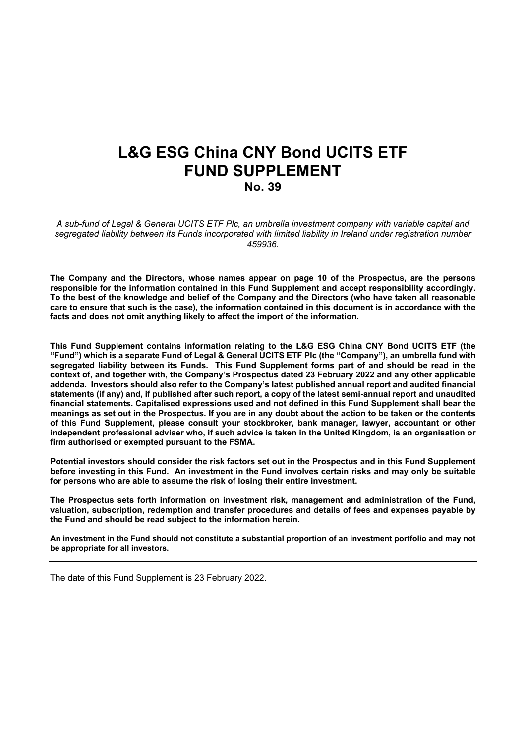# **L&G ESG China CNY Bond UCITS ETF FUND SUPPLEMENT**

**No. 39**

*A sub-fund of Legal & General UCITS ETF Plc, an umbrella investment company with variable capital and segregated liability between its Funds incorporated with limited liability in Ireland under registration number 459936.*

**The Company and the Directors, whose names appear on page 10 of the Prospectus, are the persons responsible for the information contained in this Fund Supplement and accept responsibility accordingly.**  To the best of the knowledge and belief of the Company and the Directors (who have taken all reasonable care to ensure that such is the case), the information contained in this document is in accordance with the **facts and does not omit anything likely to affect the import of the information.**

**This Fund Supplement contains information relating to the L&G ESG China CNY Bond UCITS ETF (the** "Fund") which is a separate Fund of Legal & General UCITS ETF PIc (the "Company"), an umbrella fund with **segregated liability between its Funds. This Fund Supplement forms part of and should be read in the context of, and together with, the Company's Prospectus dated 23 February 2022 and any other applicable addenda. Investors should also refer to the Company's latest published annual report and audited financial** statements (if any) and, if published after such report, a copy of the latest semi-annual report and unaudited **financial statements. Capitalised expressions used and not defined in this Fund Supplement shall bear the** meanings as set out in the Prospectus. If you are in any doubt about the action to be taken or the contents **of this Fund Supplement, please consult your stockbroker, bank manager, lawyer, accountant or other** independent professional adviser who, if such advice is taken in the United Kingdom, is an organisation or **firm authorised or exempted pursuant to the FSMA.**

Potential investors should consider the risk factors set out in the Prospectus and in this Fund Supplement **before investing in this Fund. An investment in the Fund involves certain risks and may only be suitable for persons who are able to assume the risk of losing their entire investment.**

**The Prospectus sets forth information on investment risk, management and administration of the Fund, valuation, subscription, redemption and transfer procedures and details of fees and expenses payable by the Fund and should be read subject to the information herein.** 

An investment in the Fund should not constitute a substantial proportion of an investment portfolio and may not **be appropriate for all investors.**

The date of this Fund Supplement is 23 February 2022.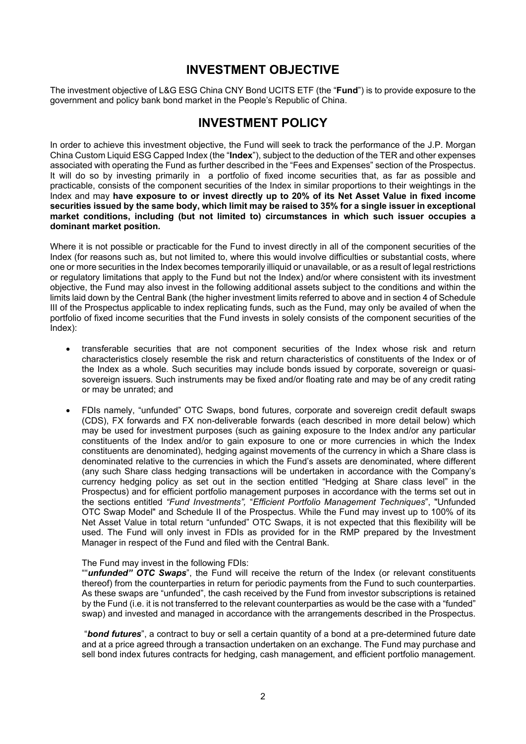### **INVESTMENT OBJECTIVE**

The investment objective of L&G ESG China CNY Bond UCITS ETF (the "**Fund**") is to provide exposure to the government and policy bank bond market in the People's Republic of China.

### **INVESTMENT POLICY**

In order to achieve this investment objective, the Fund will seek to track the performance of the J.P. Morgan China Custom Liquid ESG Capped Index (the "**Index**"), subject to the deduction of the TER and other expenses associated with operating the Fund as further described in the "Fees and Expenses" section of the Prospectus. It will do so by investing primarily in a portfolio of fixed income securities that, as far as possible and practicable, consists of the component securities of the Index in similar proportions to their weightings in the Index and may **have exposure to or invest directly up to 20% of its Net Asset Value in fixed income** securities issued by the same body, which limit may be raised to 35% for a single issuer in exceptional **market conditions, including (but not limited to) circumstances in which such issuer occupies a dominant market position.**

Where it is not possible or practicable for the Fund to invest directly in all of the component securities of the Index (for reasons such as, but not limited to, where this would involve difficulties or substantial costs, where one or more securities in the Index becomes temporarily illiquid or unavailable, or as a result of legal restrictions or regulatory limitations that apply to the Fund but not the Index) and/or where consistent with its investment objective, the Fund may also invest in the following additional assets subject to the conditions and within the limits laid down by the Central Bank (the higher investment limits referred to above and in section 4 of Schedule III of the Prospectus applicable to index replicating funds, such as the Fund, may only be availed of when the portfolio of fixed income securities that the Fund invests in solely consists of the component securities of the Index):

- transferable securities that are not component securities of the Index whose risk and return characteristics closely resemble the risk and return characteristics of constituents of the Index or of the Index as a whole. Such securities may include bonds issued by corporate, sovereign or quasisovereign issuers. Such instruments may be fixed and/or floating rate and may be of any credit rating or may be unrated; and
- FDIs namely, "unfunded" OTC Swaps, bond futures, corporate and sovereign credit default swaps (CDS), FX forwards and FX non-deliverable forwards (each described in more detail below) which may be used for investment purposes (such as gaining exposure to the Index and/or any particular constituents of the Index and/or to gain exposure to one or more currencies in which the Index constituents are denominated), hedging against movements of the currency in which a Share class is denominated relative to the currencies in which the Fund's assets are denominated, where different (any such Share class hedging transactions will be undertaken in accordance with the Company's currency hedging policy as set out in the section entitled "Hedging at Share class level" in the Prospectus) and for efficient portfolio management purposes in accordance with the terms set out in the sections entitled *"Fund Investments",* "*Efficient Portfolio Management Techniques*", "Unfunded OTC Swap Model" and Schedule II of the Prospectus. While the Fund may invest up to 100% of its Net Asset Value in total return "unfunded" OTC Swaps, it is not expected that this flexibility will be used. The Fund will only invest in FDIs as provided for in the RMP prepared by the Investment Manager in respect of the Fund and filed with the Central Bank.

#### The Fund may invest in the following FDIs:

""*unfunded" OTC Swaps*", the Fund will receive the return of the Index (or relevant constituents thereof) from the counterparties in return for periodic payments from the Fund to such counterparties. As these swaps are "unfunded", the cash received by the Fund from investor subscriptions is retained by the Fund (i.e. it is not transferred to the relevant counterparties as would be the case with a "funded" swap) and invested and managed in accordance with the arrangements described in the Prospectus.

"*bond futures*", a contract to buy or sell a certain quantity of a bond at a pre-determined future date and at a price agreed through a transaction undertaken on an exchange. The Fund may purchase and sell bond index futures contracts for hedging, cash management, and efficient portfolio management.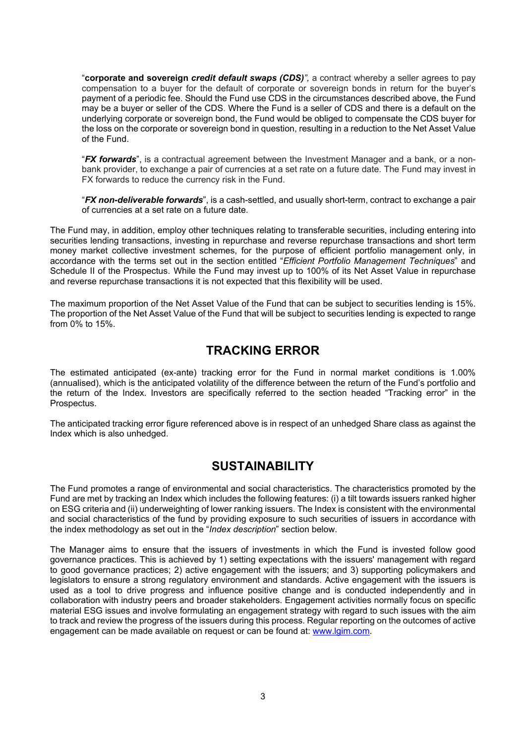"**corporate and sovereign** *credit default swaps (CDS)",* a contract whereby a seller agrees to pay compensation to a buyer for the default of corporate or sovereign bonds in return for the buyer's payment of a periodic fee. Should the Fund use CDS in the circumstances described above, the Fund may be a buyer or seller of the CDS. Where the Fund is a seller of CDS and there is a default on the underlying corporate or sovereign bond, the Fund would be obliged to compensate the CDS buyer for the loss on the corporate or sovereign bond in question, resulting in a reduction to the Net Asset Value of the Fund.

"*FX forwards*", is a contractual agreement between the Investment Manager and a bank, or a nonbank provider, to exchange a pair of currencies at a set rate on a future date. The Fund may invest in FX forwards to reduce the currency risk in the Fund.

"*FX non-deliverable forwards*", is a cash-settled, and usually short-term, contract to exchange a pair of currencies at a set rate on a future date.

The Fund may, in addition, employ other techniques relating to transferable securities, including entering into securities lending transactions, investing in repurchase and reverse repurchase transactions and short term money market collective investment schemes, for the purpose of efficient portfolio management only, in accordance with the terms set out in the section entitled "*Efficient Portfolio Management Techniques*" and Schedule II of the Prospectus. While the Fund may invest up to 100% of its Net Asset Value in repurchase and reverse repurchase transactions it is not expected that this flexibility will be used.

The maximum proportion of the Net Asset Value of the Fund that can be subject to securities lending is 15%. The proportion of the Net Asset Value of the Fund that will be subject to securities lending is expected to range from  $0\%$  to 15%.

### **TRACKING ERROR**

The estimated anticipated (ex-ante) tracking error for the Fund in normal market conditions is 1.00% (annualised), which is the anticipated volatility of the difference between the return of the Fund's portfolio and the return of the Index. Investors are specifically referred to the section headed "Tracking error" in the Prospectus.

The anticipated tracking error figure referenced above is in respect of an unhedged Share class as against the Index which is also unhedged.

### **SUSTAINABILITY**

The Fund promotes a range of environmental and social characteristics. The characteristics promoted by the Fund are met by tracking an Index which includes the following features: (i) a tilt towards issuers ranked higher on ESG criteria and (ii) underweighting of lower ranking issuers. The Index is consistent with the environmental and social characteristics of the fund by providing exposure to such securities of issuers in accordance with the index methodology as set out in the "*Index description*" section below.

The Manager aims to ensure that the issuers of investments in which the Fund is invested follow good governance practices. This is achieved by 1) setting expectations with the issuers' management with regard to good governance practices; 2) active engagement with the issuers; and 3) supporting policymakers and legislators to ensure a strong regulatory environment and standards. Active engagement with the issuers is used as a tool to drive progress and influence positive change and is conducted independently and in collaboration with industry peers and broader stakeholders. Engagement activities normally focus on specific material ESG issues and involve formulating an engagement strategy with regard to such issues with the aim to track and review the progress of the issuers during this process. Regular reporting on the outcomes of active engagement can be made available on request or can be found at: [www.lgim.com.](https://eur03.safelinks.protection.outlook.com/?url=http%3A%2F%2Fwww.lgim.com%2F&data=04%7C01%7CEliza.Ruddy%40lgim.com%7Ce086a20842c84f1301b008d8ccf7a064%7Cd246baabcc004ed2bc4ef8a46cbc590d%7C0%7C0%7C637484711205446679%7CUnknown%7CTWFpbGZsb3d8eyJWIjoiMC4wLjAwMDAiLCJQIjoiV2luMzIiLCJBTiI6Ik1haWwiLCJXVCI6Mn0%3D%7C1000&sdata=R6FKZDSBDWvzOmay7OEPMexWEUA2HZdkEFwKOofiW%2FM%3D&reserved=0)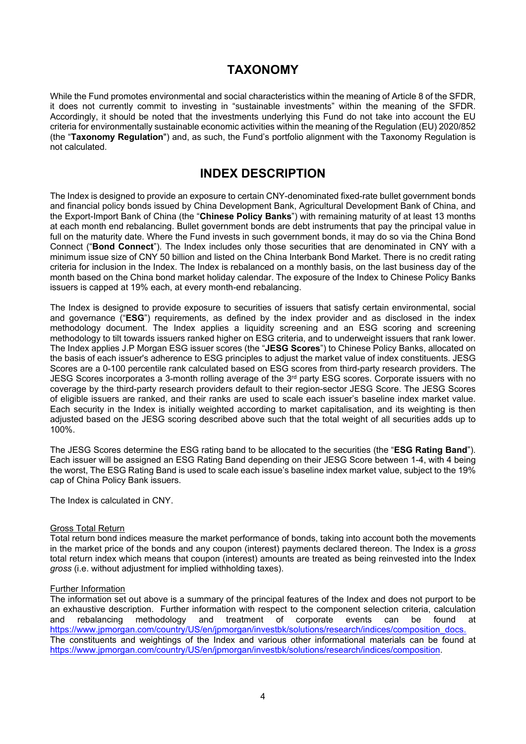# **TAXONOMY**

While the Fund promotes environmental and social characteristics within the meaning of Article 8 of the SFDR, it does not currently commit to investing in "sustainable investments" within the meaning of the SFDR. Accordingly, it should be noted that the investments underlying this Fund do not take into account the EU criteria for environmentally sustainable economic activities within the meaning of the Regulation (EU) 2020/852 (the "**Taxonomy Regulation**") and, as such, the Fund's portfolio alignment with the Taxonomy Regulation is not calculated.

### **INDEX DESCRIPTION**

The Index is designed to provide an exposure to certain CNY-denominated fixed-rate bullet government bonds and financial policy bonds issued by China Development Bank, Agricultural Development Bank of China, and the Export-Import Bank of China (the "**Chinese Policy Banks**") with remaining maturity of at least 13 months at each month end rebalancing. Bullet government bonds are debt instruments that pay the principal value in full on the maturity date. Where the Fund invests in such government bonds, it may do so via the China Bond Connect ("**Bond Connect**"). The Index includes only those securities that are denominated in CNY with a minimum issue size of CNY 50 billion and listed on the China Interbank Bond Market. There is no credit rating criteria for inclusion in the Index. The Index is rebalanced on a monthly basis, on the last business day of the month based on the China bond market holiday calendar. The exposure of the Index to Chinese Policy Banks issuers is capped at 19% each, at every month-end rebalancing.

The Index is designed to provide exposure to securities of issuers that satisfy certain environmental, social and governance ("**ESG**") requirements, as defined by the index provider and as disclosed in the index methodology document. The Index applies a liquidity screening and an ESG scoring and screening methodology to tilt towards issuers ranked higher on ESG criteria, and to underweight issuers that rank lower. The Index applies J.P Morgan ESG issuer scores (the "**JESG Scores**") to Chinese Policy Banks, allocated on the basis of each issuer's adherence to ESG principles to adjust the market value of index constituents. JESG Scores are a 0-100 percentile rank calculated based on ESG scores from third-party research providers. The JESG Scores incorporates a 3-month rolling average of the 3<sup>rd</sup> party ESG scores. Corporate issuers with no coverage by the third-party research providers default to their region-sector JESG Score. The JESG Scores of eligible issuers are ranked, and their ranks are used to scale each issuer's baseline index market value. Each security in the Index is initially weighted according to market capitalisation, and its weighting is then adjusted based on the JESG scoring described above such that the total weight of all securities adds up to 100%.

The JESG Scores determine the ESG rating band to be allocated to the securities (the "**ESG Rating Band**"). Each issuer will be assigned an ESG Rating Band depending on their JESG Score between 1-4, with 4 being the worst, The ESG Rating Band is used to scale each issue's baseline index market value, subject to the 19% cap of China Policy Bank issuers.

The Index is calculated in CNY.

#### Gross Total Return

Total return bond indices measure the market performance of bonds, taking into account both the movements in the market price of the bonds and any coupon (interest) payments declared thereon. The Index is a *gross* total return index which means that coupon (interest) amounts are treated as being reinvested into the Index *gross* (i.e. without adjustment for implied withholding taxes).

#### Further Information

The information set out above is a summary of the principal features of the Index and does not purport to be an exhaustive description. Further information with respect to the component selection criteria, calculation and rebalancing methodology and treatment of corporate events can be found at [https://www.jpmorgan.com/country/US/en/jpmorgan/investbk/solutions/research/indices/composition\\_docs.](https://www.jpmorgan.com/country/US/en/jpmorgan/investbk/solutions/research/indices/composition_docs) The constituents and weightings of the Index and various other informational materials can be found at [https://www.jpmorgan.com/country/US/en/jpmorgan/investbk/solutions/research/indices/composition.](https://www.jpmorgan.com/country/US/en/jpmorgan/investbk/solutions/research/indices/composition)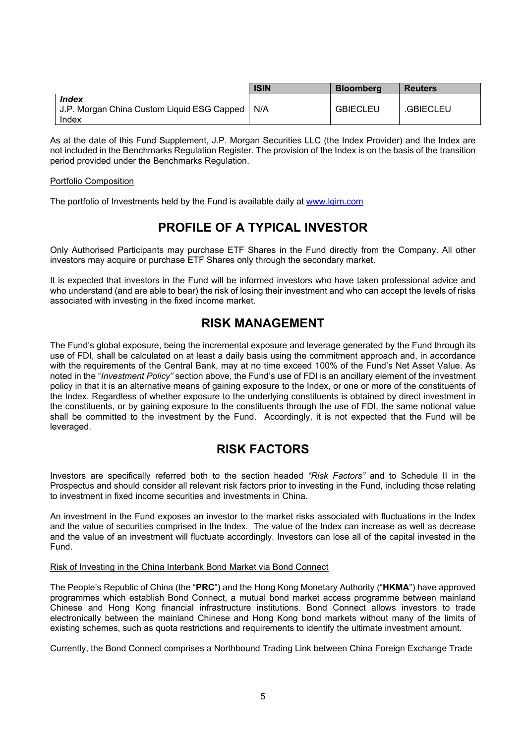|                                                                     | <b>ISIN</b> | <b>Bloomberg</b> | <b>Reuters</b> |
|---------------------------------------------------------------------|-------------|------------------|----------------|
| <b>Index</b><br>J.P. Morgan China Custom Liquid ESG Capped<br>Index | ' N/A       | <b>GBIECLEU</b>  | .GBIECLEU      |

As at the date of this Fund Supplement, J.P. Morgan Securities LLC (the Index Provider) and the Index are not included in the Benchmarks Regulation Register. The provision of the Index is on the basis of the transition period provided under the Benchmarks Regulation.

#### Portfolio Composition

The portfolio of Investments held by the Fund is available daily at [www.lgim.com](http://www.lgim.com/)

# **PROFILE OF A TYPICAL INVESTOR**

Only Authorised Participants may purchase ETF Shares in the Fund directly from the Company. All other investors may acquire or purchase ETF Shares only through the secondary market.

It is expected that investors in the Fund will be informed investors who have taken professional advice and who understand (and are able to bear) the risk of losing their investment and who can accept the levels of risks associated with investing in the fixed income market.

### **RISK MANAGEMENT**

The Fund's global exposure, being the incremental exposure and leverage generated by the Fund through its use of FDI, shall be calculated on at least a daily basis using the commitment approach and, in accordance with the requirements of the Central Bank, may at no time exceed 100% of the Fund's Net Asset Value. As noted in the "*Investment Policy"* section above, the Fund's use of FDI is an ancillary element of the investment policy in that it is an alternative means of gaining exposure to the Index, or one or more of the constituents of the Index. Regardless of whether exposure to the underlying constituents is obtained by direct investment in the constituents, or by gaining exposure to the constituents through the use of FDI, the same notional value shall be committed to the investment by the Fund. Accordingly, it is not expected that the Fund will be leveraged.

### **RISK FACTORS**

Investors are specifically referred both to the section headed *"Risk Factors"* and to Schedule II in the Prospectus and should consider all relevant risk factors prior to investing in the Fund, including those relating to investment in fixed income securities and investments in China.

An investment in the Fund exposes an investor to the market risks associated with fluctuations in the Index and the value of securities comprised in the Index. The value of the Index can increase as well as decrease and the value of an investment will fluctuate accordingly. Investors can lose all of the capital invested in the Fund.

#### Risk of Investing in the China Interbank Bond Market via Bond Connect

The People's Republic of China (the "**PRC**") and the Hong Kong Monetary Authority ("**HKMA**") have approved programmes which establish Bond Connect, a mutual bond market access programme between mainland Chinese and Hong Kong financial infrastructure institutions. Bond Connect allows investors to trade electronically between the mainland Chinese and Hong Kong bond markets without many of the limits of existing schemes, such as quota restrictions and requirements to identify the ultimate investment amount.

Currently, the Bond Connect comprises a Northbound Trading Link between China Foreign Exchange Trade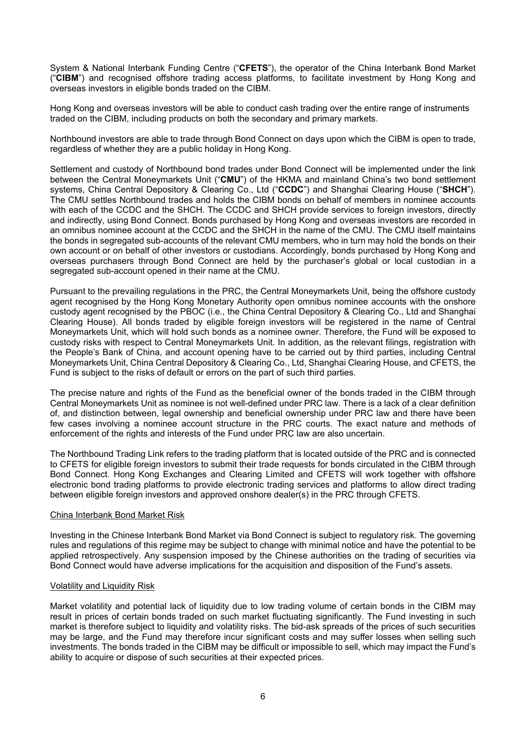System & National Interbank Funding Centre ("**CFETS**"), the operator of the China Interbank Bond Market ("**CIBM**") and recognised offshore trading access platforms, to facilitate investment by Hong Kong and overseas investors in eligible bonds traded on the CIBM.

Hong Kong and overseas investors will be able to conduct cash trading over the entire range of instruments traded on the CIBM, including products on both the secondary and primary markets.

Northbound investors are able to trade through Bond Connect on days upon which the CIBM is open to trade, regardless of whether they are a public holiday in Hong Kong.

Settlement and custody of Northbound bond trades under Bond Connect will be implemented under the link between the Central Moneymarkets Unit ("**CMU**") of the HKMA and mainland China's two bond settlement systems, China Central Depository & Clearing Co., Ltd ("**CCDC**") and Shanghai Clearing House ("**SHCH**"). The CMU settles Northbound trades and holds the CIBM bonds on behalf of members in nominee accounts with each of the CCDC and the SHCH. The CCDC and SHCH provide services to foreign investors, directly and indirectly, using Bond Connect. Bonds purchased by Hong Kong and overseas investors are recorded in an omnibus nominee account at the CCDC and the SHCH in the name of the CMU. The CMU itself maintains the bonds in segregated sub-accounts of the relevant CMU members, who in turn may hold the bonds on their own account or on behalf of other investors or custodians. Accordingly, bonds purchased by Hong Kong and overseas purchasers through Bond Connect are held by the purchaser's global or local custodian in a segregated sub-account opened in their name at the CMU.

Pursuant to the prevailing regulations in the PRC, the Central Moneymarkets Unit, being the offshore custody agent recognised by the Hong Kong Monetary Authority open omnibus nominee accounts with the onshore custody agent recognised by the PBOC (i.e., the China Central Depository & Clearing Co., Ltd and Shanghai Clearing House). All bonds traded by eligible foreign investors will be registered in the name of Central Moneymarkets Unit, which will hold such bonds as a nominee owner. Therefore, the Fund will be exposed to custody risks with respect to Central Moneymarkets Unit. In addition, as the relevant filings, registration with the People's Bank of China, and account opening have to be carried out by third parties, including Central Moneymarkets Unit, China Central Depository & Clearing Co., Ltd, Shanghai Clearing House, and CFETS, the Fund is subject to the risks of default or errors on the part of such third parties.

The precise nature and rights of the Fund as the beneficial owner of the bonds traded in the CIBM through Central Moneymarkets Unit as nominee is not well-defined under PRC law. There is a lack of a clear definition of, and distinction between, legal ownership and beneficial ownership under PRC law and there have been few cases involving a nominee account structure in the PRC courts. The exact nature and methods of enforcement of the rights and interests of the Fund under PRC law are also uncertain.

The Northbound Trading Link refers to the trading platform that is located outside of the PRC and is connected to CFETS for eligible foreign investors to submit their trade requests for bonds circulated in the CIBM through Bond Connect. Hong Kong Exchanges and Clearing Limited and CFETS will work together with offshore electronic bond trading platforms to provide electronic trading services and platforms to allow direct trading between eligible foreign investors and approved onshore dealer(s) in the PRC through CFETS.

#### China Interbank Bond Market Risk

Investing in the Chinese Interbank Bond Market via Bond Connect is subject to regulatory risk. The governing rules and regulations of this regime may be subject to change with minimal notice and have the potential to be applied retrospectively. Any suspension imposed by the Chinese authorities on the trading of securities via Bond Connect would have adverse implications for the acquisition and disposition of the Fund's assets.

#### Volatility and Liquidity Risk

Market volatility and potential lack of liquidity due to low trading volume of certain bonds in the CIBM may result in prices of certain bonds traded on such market fluctuating significantly. The Fund investing in such market is therefore subject to liquidity and volatility risks. The bid-ask spreads of the prices of such securities may be large, and the Fund may therefore incur significant costs and may suffer losses when selling such investments. The bonds traded in the CIBM may be difficult or impossible to sell, which may impact the Fund's ability to acquire or dispose of such securities at their expected prices.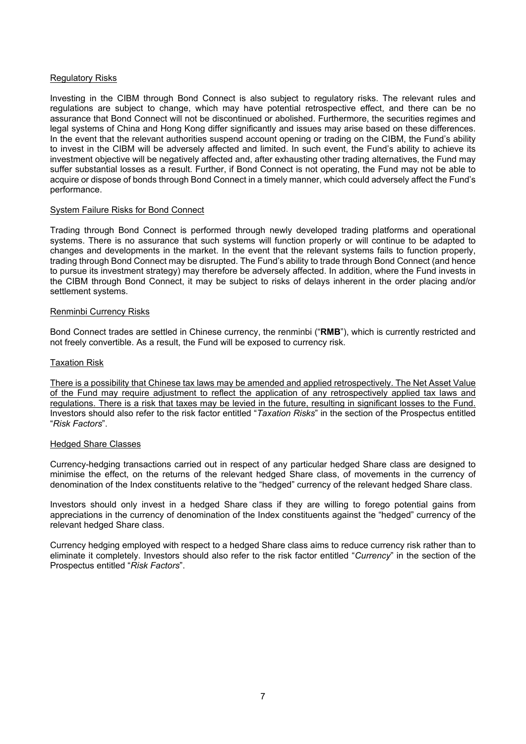#### Regulatory Risks

Investing in the CIBM through Bond Connect is also subject to regulatory risks. The relevant rules and regulations are subject to change, which may have potential retrospective effect, and there can be no assurance that Bond Connect will not be discontinued or abolished. Furthermore, the securities regimes and legal systems of China and Hong Kong differ significantly and issues may arise based on these differences. In the event that the relevant authorities suspend account opening or trading on the CIBM, the Fund's ability to invest in the CIBM will be adversely affected and limited. In such event, the Fund's ability to achieve its investment objective will be negatively affected and, after exhausting other trading alternatives, the Fund may suffer substantial losses as a result. Further, if Bond Connect is not operating, the Fund may not be able to acquire or dispose of bonds through Bond Connect in a timely manner, which could adversely affect the Fund's performance.

#### System Failure Risks for Bond Connect

Trading through Bond Connect is performed through newly developed trading platforms and operational systems. There is no assurance that such systems will function properly or will continue to be adapted to changes and developments in the market. In the event that the relevant systems fails to function properly, trading through Bond Connect may be disrupted. The Fund's ability to trade through Bond Connect (and hence to pursue its investment strategy) may therefore be adversely affected. In addition, where the Fund invests in the CIBM through Bond Connect, it may be subject to risks of delays inherent in the order placing and/or settlement systems.

#### Renminbi Currency Risks

Bond Connect trades are settled in Chinese currency, the renminbi ("**RMB**"), which is currently restricted and not freely convertible. As a result, the Fund will be exposed to currency risk.

#### Taxation Risk

There is a possibility that Chinese tax laws may be amended and applied retrospectively. The Net Asset Value of the Fund may require adjustment to reflect the application of any retrospectively applied tax laws and regulations. There is a risk that taxes may be levied in the future, resulting in significant losses to the Fund. Investors should also refer to the risk factor entitled "*Taxation Risks*" in the section of the Prospectus entitled "*Risk Factors*".

#### Hedged Share Classes

Currency-hedging transactions carried out in respect of any particular hedged Share class are designed to minimise the effect, on the returns of the relevant hedged Share class, of movements in the currency of denomination of the Index constituents relative to the "hedged" currency of the relevant hedged Share class.

Investors should only invest in a hedged Share class if they are willing to forego potential gains from appreciations in the currency of denomination of the Index constituents against the "hedged" currency of the relevant hedged Share class.

Currency hedging employed with respect to a hedged Share class aims to reduce currency risk rather than to eliminate it completely. Investors should also refer to the risk factor entitled "*Currency*" in the section of the Prospectus entitled "*Risk Factors*".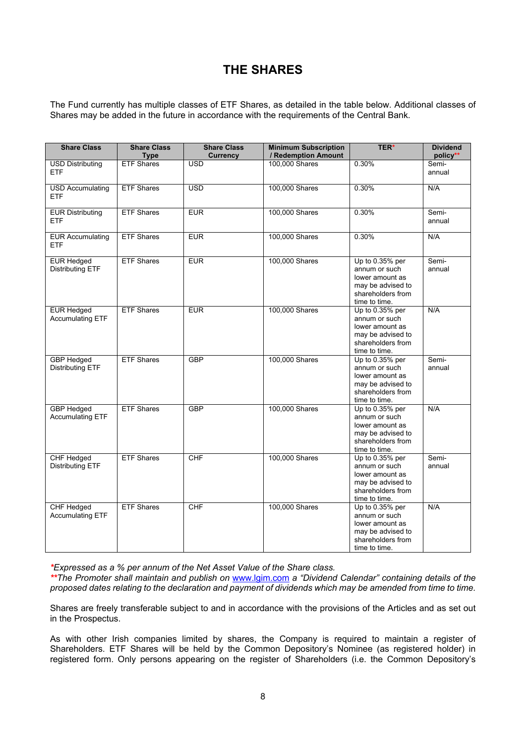# **THE SHARES**

The Fund currently has multiple classes of ETF Shares, as detailed in the table below. Additional classes of Shares may be added in the future in accordance with the requirements of the Central Bank.

| <b>Share Class</b>                           | <b>Share Class</b><br><b>Type</b> | <b>Share Class</b><br><b>Currency</b> | <b>Minimum Subscription</b><br>/ Redemption Amount | <b>TER*</b>                                                                                                    | <b>Dividend</b><br>policy** |
|----------------------------------------------|-----------------------------------|---------------------------------------|----------------------------------------------------|----------------------------------------------------------------------------------------------------------------|-----------------------------|
| <b>USD Distributing</b><br><b>ETF</b>        | <b>ETF Shares</b>                 | <b>USD</b>                            | 100,000 Shares                                     | 0.30%                                                                                                          | Semi-<br>annual             |
| <b>USD Accumulating</b><br><b>ETF</b>        | <b>ETF Shares</b>                 | $\overline{USD}$                      | 100,000 Shares                                     | 0.30%                                                                                                          | N/A                         |
| <b>EUR Distributing</b><br><b>ETF</b>        | <b>ETF Shares</b>                 | EUR                                   | 100,000 Shares                                     | 0.30%                                                                                                          | Semi-<br>annual             |
| <b>EUR</b> Accumulating<br><b>ETF</b>        | <b>ETF Shares</b>                 | <b>EUR</b>                            | 100,000 Shares                                     | 0.30%                                                                                                          | N/A                         |
| <b>EUR Hedged</b><br><b>Distributing ETF</b> | <b>ETF Shares</b>                 | EUR                                   | 100,000 Shares                                     | Up to 0.35% per<br>annum or such<br>lower amount as<br>may be advised to<br>shareholders from<br>time to time. | Semi-<br>annual             |
| <b>EUR Hedged</b><br><b>Accumulating ETF</b> | <b>ETF Shares</b>                 | <b>EUR</b>                            | 100,000 Shares                                     | Up to 0.35% per<br>annum or such<br>lower amount as<br>may be advised to<br>shareholders from<br>time to time. | N/A                         |
| <b>GBP</b> Hedged<br><b>Distributing ETF</b> | <b>ETF Shares</b>                 | GBP                                   | 100,000 Shares                                     | Up to 0.35% per<br>annum or such<br>lower amount as<br>may be advised to<br>shareholders from<br>time to time. | Semi-<br>annual             |
| <b>GBP</b> Hedged<br><b>Accumulating ETF</b> | <b>ETF Shares</b>                 | <b>GBP</b>                            | 100,000 Shares                                     | Up to 0.35% per<br>annum or such<br>lower amount as<br>may be advised to<br>shareholders from<br>time to time. | N/A                         |
| <b>CHF Hedged</b><br><b>Distributing ETF</b> | <b>ETF Shares</b>                 | CHF                                   | 100,000 Shares                                     | Up to 0.35% per<br>annum or such<br>lower amount as<br>may be advised to<br>shareholders from<br>time to time. | Semi-<br>annual             |
| CHF Hedged<br>Accumulating ETF               | <b>ETF Shares</b>                 | CHF                                   | 100,000 Shares                                     | Up to 0.35% per<br>annum or such<br>lower amount as<br>may be advised to<br>shareholders from<br>time to time. | N/A                         |

*\*Expressed as a % per annum of the Net Asset Value of the Share class.*

*\*\*The Promoter shall maintain and publish on* [www.lgim.com](http://www.lgim.com/) *a "Dividend Calendar" containing details of the* proposed dates relating to the declaration and payment of dividends which may be amended from time to time.

Shares are freely transferable subject to and in accordance with the provisions of the Articles and as set out in the Prospectus.

As with other Irish companies limited by shares, the Company is required to maintain a register of Shareholders. ETF Shares will be held by the Common Depository's Nominee (as registered holder) in registered form. Only persons appearing on the register of Shareholders (i.e. the Common Depository's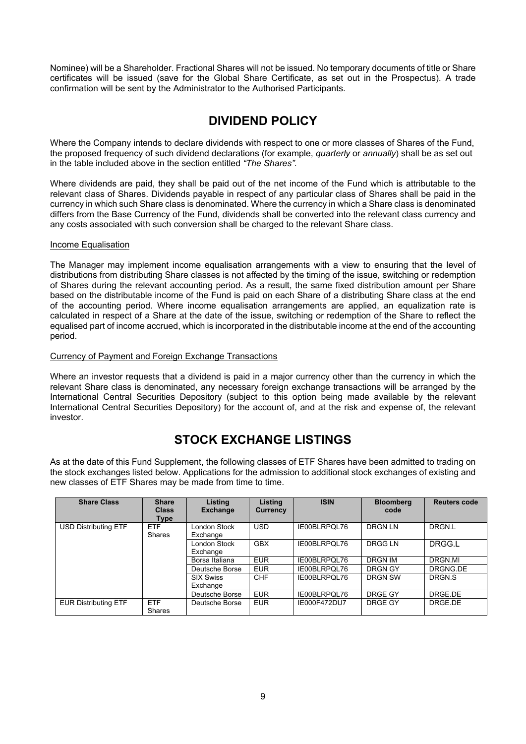Nominee) will be a Shareholder. Fractional Shares will not be issued. No temporary documents of title or Share certificates will be issued (save for the Global Share Certificate, as set out in the Prospectus). A trade confirmation will be sent by the Administrator to the Authorised Participants.

# **DIVIDEND POLICY**

Where the Company intends to declare dividends with respect to one or more classes of Shares of the Fund, the proposed frequency of such dividend declarations (for example, *quarterly* or *annually*) shall be as set out in the table included above in the section entitled *"The Shares".*

Where dividends are paid, they shall be paid out of the net income of the Fund which is attributable to the relevant class of Shares. Dividends payable in respect of any particular class of Shares shall be paid in the currency in which such Share class is denominated. Where the currency in which a Share class is denominated differs from the Base Currency of the Fund, dividends shall be converted into the relevant class currency and any costs associated with such conversion shall be charged to the relevant Share class.

#### Income Equalisation

The Manager may implement income equalisation arrangements with a view to ensuring that the level of distributions from distributing Share classes is not affected by the timing of the issue, switching or redemption of Shares during the relevant accounting period. As a result, the same fixed distribution amount per Share based on the distributable income of the Fund is paid on each Share of a distributing Share class at the end of the accounting period. Where income equalisation arrangements are applied, an equalization rate is calculated in respect of a Share at the date of the issue, switching or redemption of the Share to reflect the equalised part of income accrued, which is incorporated in the distributable income at the end of the accounting period.

#### Currency of Payment and Foreign Exchange Transactions

Where an investor requests that a dividend is paid in a major currency other than the currency in which the relevant Share class is denominated, any necessary foreign exchange transactions will be arranged by the International Central Securities Depository (subject to this option being made available by the relevant International Central Securities Depository) for the account of, and at the risk and expense of, the relevant investor.

### **STOCK EXCHANGE LISTINGS**

As at the date of this Fund Supplement, the following classes of ETF Shares have been admitted to trading on the stock exchanges listed below. Applications for the admission to additional stock exchanges of existing and new classes of ETF Shares may be made from time to time.

| <b>Share Class</b>                                         | <b>Share</b><br><b>Class</b><br><b>Type</b> | Listing<br><b>Exchange</b>   | <b>Listing</b><br><b>Currency</b> | <b>ISIN</b>  | <b>Bloomberg</b><br>code | <b>Reuters code</b> |
|------------------------------------------------------------|---------------------------------------------|------------------------------|-----------------------------------|--------------|--------------------------|---------------------|
| <b>ETF</b><br><b>USD Distributing ETF</b><br><b>Shares</b> |                                             | London Stock<br>Exchange     | USD.                              | IE00BLRPQL76 | DRGN LN                  | DRGN.L              |
|                                                            |                                             | London Stock<br>Exchange     | <b>GBX</b>                        | IE00BLRPQL76 | DRGG LN                  | DRGG.L              |
|                                                            |                                             | Borsa Italiana               | <b>EUR</b>                        | IE00BLRPQL76 | <b>DRGN IM</b>           | DRGN.MI             |
|                                                            |                                             | Deutsche Borse               | <b>EUR</b>                        | IE00BLRPQL76 | DRGN GY                  | DRGNG.DE            |
|                                                            |                                             | <b>SIX Swiss</b><br>Exchange | <b>CHF</b>                        | IE00BLRPOL76 | DRGN SW                  | DRGN.S              |
|                                                            |                                             | Deutsche Borse               | <b>EUR</b>                        | IE00BLRPOL76 | DRGE GY                  | DRGE.DE             |
| <b>EUR Distributing ETF</b>                                | ETF<br><b>Shares</b>                        | Deutsche Borse               | <b>EUR</b>                        | IE000F472DU7 | DRGE GY                  | DRGE.DE             |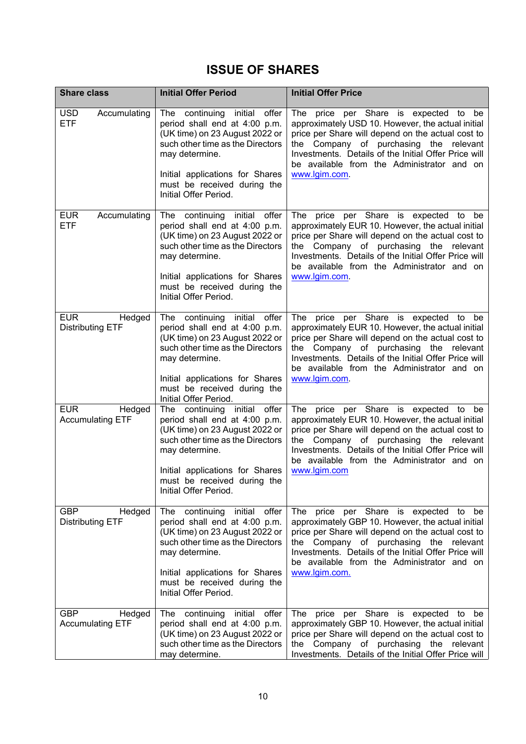# **ISSUE OF SHARES**

| <b>Share class</b>                              | <b>Initial Offer Period</b>                                                                                                                                                                                                                         | <b>Initial Offer Price</b>                                                                                                                                                                                                                                                                                          |
|-------------------------------------------------|-----------------------------------------------------------------------------------------------------------------------------------------------------------------------------------------------------------------------------------------------------|---------------------------------------------------------------------------------------------------------------------------------------------------------------------------------------------------------------------------------------------------------------------------------------------------------------------|
| <b>USD</b><br>Accumulating<br><b>ETF</b>        | continuing initial<br>offer<br>The<br>period shall end at 4:00 p.m.<br>(UK time) on 23 August 2022 or<br>such other time as the Directors<br>may determine.<br>Initial applications for Shares                                                      | The price per Share is expected to be<br>approximately USD 10. However, the actual initial<br>price per Share will depend on the actual cost to<br>the Company of purchasing the relevant<br>Investments. Details of the Initial Offer Price will<br>be available from the Administrator and on<br>www.lgim.com.    |
|                                                 | must be received during the<br>Initial Offer Period.                                                                                                                                                                                                |                                                                                                                                                                                                                                                                                                                     |
| <b>EUR</b><br>Accumulating<br><b>ETF</b>        | The continuing initial<br>offer<br>period shall end at 4:00 p.m.<br>(UK time) on 23 August 2022 or<br>such other time as the Directors<br>may determine.<br>Initial applications for Shares<br>must be received during the<br>Initial Offer Period. | The price per Share is expected to be<br>approximately EUR 10. However, the actual initial<br>price per Share will depend on the actual cost to<br>Company of purchasing the relevant<br>the<br>Investments. Details of the Initial Offer Price will<br>be available from the Administrator and on<br>www.lgim.com. |
| <b>EUR</b><br>Hedged<br><b>Distributing ETF</b> | The continuing initial<br>offer<br>period shall end at 4:00 p.m.<br>(UK time) on 23 August 2022 or<br>such other time as the Directors<br>may determine.<br>Initial applications for Shares<br>must be received during the<br>Initial Offer Period. | The price per Share is expected to be<br>approximately EUR 10. However, the actual initial<br>price per Share will depend on the actual cost to<br>the Company of purchasing the relevant<br>Investments. Details of the Initial Offer Price will<br>be available from the Administrator and on<br>www.lgim.com.    |
| <b>EUR</b><br>Hedged<br><b>Accumulating ETF</b> | offer<br>The continuing initial<br>period shall end at 4:00 p.m.<br>(UK time) on 23 August 2022 or<br>such other time as the Directors<br>may determine.<br>Initial applications for Shares<br>must be received during the<br>Initial Offer Period. | The price per Share is expected to be<br>approximately EUR 10. However, the actual initial<br>price per Share will depend on the actual cost to<br>the Company of purchasing the relevant<br>Investments. Details of the Initial Offer Price will<br>be available from the Administrator and on<br>www.lgim.com     |
| <b>GBP</b><br>Hedged<br><b>Distributing ETF</b> | offer<br>The continuing initial<br>period shall end at 4:00 p.m.<br>(UK time) on 23 August 2022 or<br>such other time as the Directors<br>may determine.<br>Initial applications for Shares<br>must be received during the<br>Initial Offer Period. | The price per Share is expected to be<br>approximately GBP 10. However, the actual initial<br>price per Share will depend on the actual cost to<br>the Company of purchasing the relevant<br>Investments. Details of the Initial Offer Price will<br>be available from the Administrator and on<br>www.lgim.com.    |
| <b>GBP</b><br>Hedged<br><b>Accumulating ETF</b> | offer<br>The continuing initial<br>period shall end at 4:00 p.m.<br>(UK time) on 23 August 2022 or<br>such other time as the Directors<br>may determine.                                                                                            | The price per Share is expected<br>to be<br>approximately GBP 10. However, the actual initial<br>price per Share will depend on the actual cost to<br>the Company of purchasing the relevant<br>Investments. Details of the Initial Offer Price will                                                                |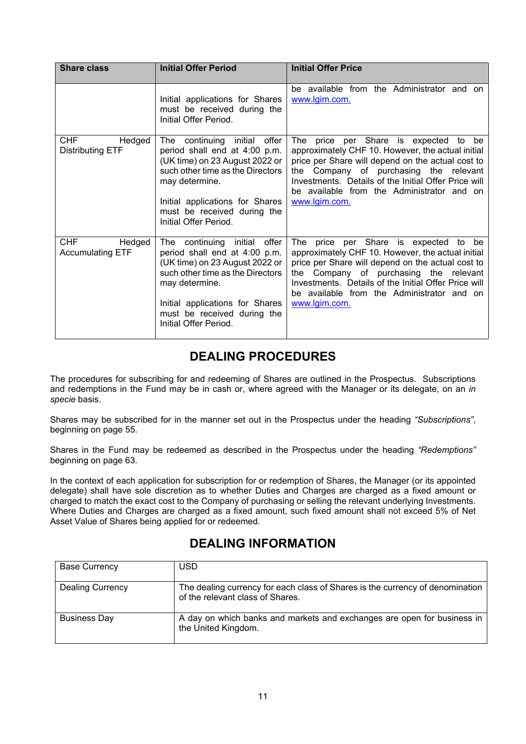| <b>Share class</b>                              | <b>Initial Offer Period</b>                                                                                                                                                                                                                         | <b>Initial Offer Price</b>                                                                                                                                                                                                                                                                                          |
|-------------------------------------------------|-----------------------------------------------------------------------------------------------------------------------------------------------------------------------------------------------------------------------------------------------------|---------------------------------------------------------------------------------------------------------------------------------------------------------------------------------------------------------------------------------------------------------------------------------------------------------------------|
|                                                 | Initial applications for Shares<br>must be received during the<br>Initial Offer Period.                                                                                                                                                             | be available from the Administrator and on<br>www.lgim.com.                                                                                                                                                                                                                                                         |
| <b>CHF</b><br>Hedged<br><b>Distributing ETF</b> | offer<br>The continuing initial<br>period shall end at 4:00 p.m.<br>(UK time) on 23 August 2022 or<br>such other time as the Directors<br>may determine.<br>Initial applications for Shares<br>must be received during the<br>Initial Offer Period. | The price per Share is expected<br>to be<br>approximately CHF 10. However, the actual initial<br>price per Share will depend on the actual cost to<br>the Company of purchasing the relevant<br>Investments. Details of the Initial Offer Price will<br>be available from the Administrator and on<br>www.lgim.com. |
| <b>CHF</b><br>Hedged<br><b>Accumulating ETF</b> | The continuing initial<br>offer<br>period shall end at 4:00 p.m.<br>(UK time) on 23 August 2022 or<br>such other time as the Directors<br>may determine.<br>Initial applications for Shares<br>must be received during the<br>Initial Offer Period. | The price per Share is expected to be<br>approximately CHF 10. However, the actual initial<br>price per Share will depend on the actual cost to<br>the Company of purchasing the relevant<br>Investments. Details of the Initial Offer Price will<br>be available from the Administrator and on<br>www.lgim.com.    |

# **DEALING PROCEDURES**

The procedures for subscribing for and redeeming of Shares are outlined in the Prospectus. Subscriptions and redemptions in the Fund may be in cash or, where agreed with the Manager or its delegate, on an *in specie* basis.

Shares may be subscribed for in the manner set out in the Prospectus under the heading *"Subscriptions"*, beginning on page 55.

Shares in the Fund may be redeemed as described in the Prospectus under the heading *"Redemptions"* beginning on page 63.

In the context of each application for subscription for or redemption of Shares, the Manager (or its appointed delegate) shall have sole discretion as to whether Duties and Charges are charged as a fixed amount or charged to match the exact cost to the Company of purchasing or selling the relevant underlying Investments. Where Duties and Charges are charged as a fixed amount, such fixed amount shall not exceed 5% of Net Asset Value of Shares being applied for or redeemed.

### **DEALING INFORMATION**

| <b>Base Currency</b>    | <b>USD</b>                                                                                                        |
|-------------------------|-------------------------------------------------------------------------------------------------------------------|
| <b>Dealing Currency</b> | The dealing currency for each class of Shares is the currency of denomination<br>of the relevant class of Shares. |
| <b>Business Day</b>     | A day on which banks and markets and exchanges are open for business in<br>the United Kingdom.                    |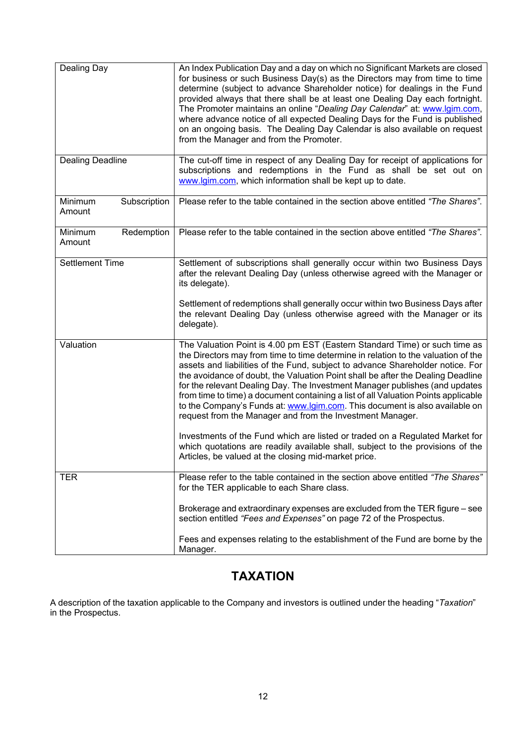| Dealing Day                       | An Index Publication Day and a day on which no Significant Markets are closed<br>for business or such Business Day(s) as the Directors may from time to time<br>determine (subject to advance Shareholder notice) for dealings in the Fund<br>provided always that there shall be at least one Dealing Day each fortnight.<br>The Promoter maintains an online "Dealing Day Calendar" at: www.lgim.com,<br>where advance notice of all expected Dealing Days for the Fund is published<br>on an ongoing basis. The Dealing Day Calendar is also available on request<br>from the Manager and from the Promoter.                                       |
|-----------------------------------|-------------------------------------------------------------------------------------------------------------------------------------------------------------------------------------------------------------------------------------------------------------------------------------------------------------------------------------------------------------------------------------------------------------------------------------------------------------------------------------------------------------------------------------------------------------------------------------------------------------------------------------------------------|
| <b>Dealing Deadline</b>           | The cut-off time in respect of any Dealing Day for receipt of applications for<br>subscriptions and redemptions in the Fund as shall be set out on<br>www.lgim.com, which information shall be kept up to date.                                                                                                                                                                                                                                                                                                                                                                                                                                       |
| Minimum<br>Subscription<br>Amount | Please refer to the table contained in the section above entitled "The Shares".                                                                                                                                                                                                                                                                                                                                                                                                                                                                                                                                                                       |
| Minimum<br>Redemption<br>Amount   | Please refer to the table contained in the section above entitled "The Shares".                                                                                                                                                                                                                                                                                                                                                                                                                                                                                                                                                                       |
| <b>Settlement Time</b>            | Settlement of subscriptions shall generally occur within two Business Days<br>after the relevant Dealing Day (unless otherwise agreed with the Manager or<br>its delegate).                                                                                                                                                                                                                                                                                                                                                                                                                                                                           |
|                                   | Settlement of redemptions shall generally occur within two Business Days after<br>the relevant Dealing Day (unless otherwise agreed with the Manager or its<br>delegate).                                                                                                                                                                                                                                                                                                                                                                                                                                                                             |
| Valuation                         | The Valuation Point is 4.00 pm EST (Eastern Standard Time) or such time as<br>the Directors may from time to time determine in relation to the valuation of the<br>assets and liabilities of the Fund, subject to advance Shareholder notice. For<br>the avoidance of doubt, the Valuation Point shall be after the Dealing Deadline<br>for the relevant Dealing Day. The Investment Manager publishes (and updates<br>from time to time) a document containing a list of all Valuation Points applicable<br>to the Company's Funds at: www.lgim.com. This document is also available on<br>request from the Manager and from the Investment Manager. |
|                                   | Investments of the Fund which are listed or traded on a Regulated Market for<br>which quotations are readily available shall, subject to the provisions of the<br>Articles, be valued at the closing mid-market price.                                                                                                                                                                                                                                                                                                                                                                                                                                |
| <b>TER</b>                        | Please refer to the table contained in the section above entitled "The Shares"<br>for the TER applicable to each Share class.                                                                                                                                                                                                                                                                                                                                                                                                                                                                                                                         |
|                                   | Brokerage and extraordinary expenses are excluded from the TER figure – see<br>section entitled "Fees and Expenses" on page 72 of the Prospectus.                                                                                                                                                                                                                                                                                                                                                                                                                                                                                                     |
|                                   | Fees and expenses relating to the establishment of the Fund are borne by the<br>Manager.                                                                                                                                                                                                                                                                                                                                                                                                                                                                                                                                                              |

# **TAXATION**

A description of the taxation applicable to the Company and investors is outlined under the heading "*Taxation*" in the Prospectus.